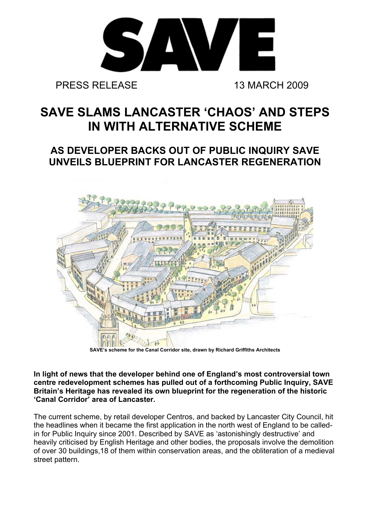

PRESS RELEASE 13 MARCH 2009

## **SAVE SLAMS LANCASTER 'CHAOS' AND STEPS IN WITH ALTERNATIVE SCHEME**

## **AS DEVELOPER BACKS OUT OF PUBLIC INQUIRY SAVE UNVEILS BLUEPRINT FOR LANCASTER REGENERATION**



**In light of news that the developer behind one of England's most controversial town centre redevelopment schemes has pulled out of a forthcoming Public Inquiry, SAVE Britain's Heritage has revealed its own blueprint for the regeneration of the historic 'Canal Corridor' area of Lancaster.** 

The current scheme, by retail developer Centros, and backed by Lancaster City Council, hit the headlines when it became the first application in the north west of England to be calledin for Public Inquiry since 2001. Described by SAVE as 'astonishingly destructive' and heavily criticised by English Heritage and other bodies, the proposals involve the demolition of over 30 buildings,18 of them within conservation areas, and the obliteration of a medieval street pattern.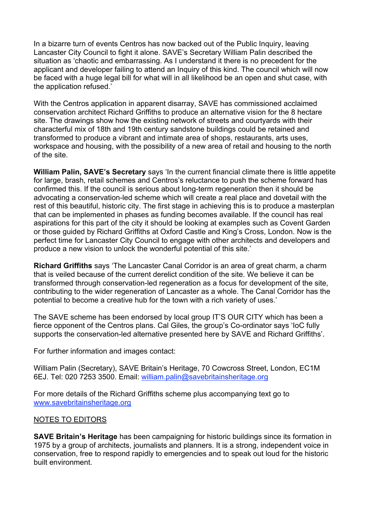In a bizarre turn of events Centros has now backed out of the Public Inquiry, leaving Lancaster City Council to fight it alone. SAVE's Secretary William Palin described the situation as 'chaotic and embarrassing. As I understand it there is no precedent for the applicant and developer failing to attend an Inquiry of this kind. The council which will now be faced with a huge legal bill for what will in all likelihood be an open and shut case, with the application refused.'

With the Centros application in apparent disarray, SAVE has commissioned acclaimed conservation architect Richard Griffiths to produce an alternative vision for the 8 hectare site. The drawings show how the existing network of streets and courtyards with their characterful mix of 18th and 19th century sandstone buildings could be retained and transformed to produce a vibrant and intimate area of shops, restaurants, arts uses, workspace and housing, with the possibility of a new area of retail and housing to the north of the site.

**William Palin, SAVE's Secretary** says 'In the current financial climate there is little appetite for large, brash, retail schemes and Centros's reluctance to push the scheme forward has confirmed this. If the council is serious about long-term regeneration then it should be advocating a conservation-led scheme which will create a real place and dovetail with the rest of this beautiful, historic city. The first stage in achieving this is to produce a masterplan that can be implemented in phases as funding becomes available. If the council has real aspirations for this part of the city it should be looking at examples such as Covent Garden or those guided by Richard Griffiths at Oxford Castle and King's Cross, London. Now is the perfect time for Lancaster City Council to engage with other architects and developers and produce a new vision to unlock the wonderful potential of this site.'

**Richard Griffiths** says 'The Lancaster Canal Corridor is an area of great charm, a charm that is veiled because of the current derelict condition of the site. We believe it can be transformed through conservation-led regeneration as a focus for development of the site, contributing to the wider regeneration of Lancaster as a whole. The Canal Corridor has the potential to become a creative hub for the town with a rich variety of uses.'

The SAVE scheme has been endorsed by local group IT'S OUR CITY which has been a fierce opponent of the Centros plans. Cal Giles, the group's Co-ordinator says 'IoC fully supports the conservation-led alternative presented here by SAVE and Richard Griffiths'.

For further information and images contact:

William Palin (Secretary), SAVE Britain's Heritage, 70 Cowcross Street, London, EC1M 6EJ. Tel: 020 7253 3500. Email: william.palin@savebritainsheritage.org

For more details of the Richard Griffiths scheme plus accompanying text go to www.savebritainsheritage.org

## NOTES TO EDITORS

**SAVE Britain's Heritage** has been campaigning for historic buildings since its formation in 1975 by a group of architects, journalists and planners. It is a strong, independent voice in conservation, free to respond rapidly to emergencies and to speak out loud for the historic built environment.